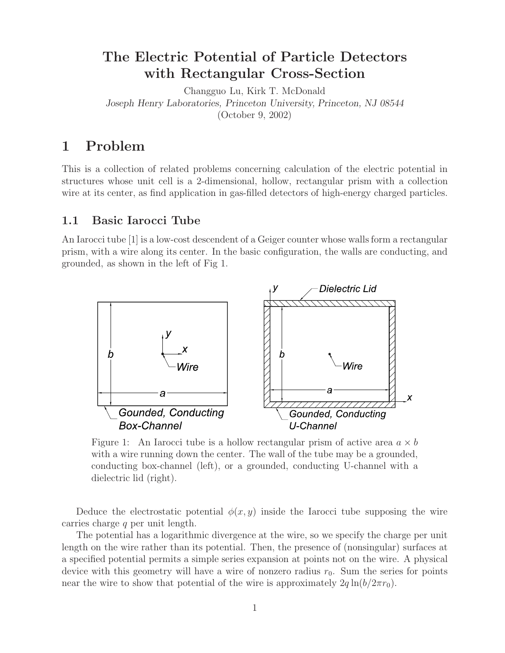# **The Electric Potential of Particle Detectors with Rectangular Cross-Section**

Changguo Lu, Kirk T. McDonald *Joseph Henry Laboratories, Princeton University, Princeton, NJ 08544* (October 9, 2002)

# **1 Problem**

This is a collection of related problems concerning calculation of the electric potential in structures whose unit cell is a 2-dimensional, hollow, rectangular prism with a collection wire at its center, as find application in gas-filled detectors of high-energy charged particles.

## **1.1 Basic Iarocci Tube**

An Iarocci tube [1] is a low-cost descendent of a Geiger counter whose walls form a rectangular prism, with a wire along its center. In the basic configuration, the walls are conducting, and grounded, as shown in the left of Fig 1.



Figure 1: An Iarocci tube is a hollow rectangular prism of active area  $a \times b$ with a wire running down the center. The wall of the tube may be a grounded, conducting box-channel (left), or a grounded, conducting U-channel with a dielectric lid (right).

Deduce the electrostatic potential  $\phi(x, y)$  inside the Iarocci tube supposing the wire carries charge q per unit length.

The potential has a logarithmic divergence at the wire, so we specify the charge per unit length on the wire rather than its potential. Then, the presence of (nonsingular) surfaces at a specified potential permits a simple series expansion at points not on the wire. A physical device with this geometry will have a wire of nonzero radius  $r_0$ . Sum the series for points near the wire to show that potential of the wire is approximately  $2q \ln(b/2\pi r_0)$ .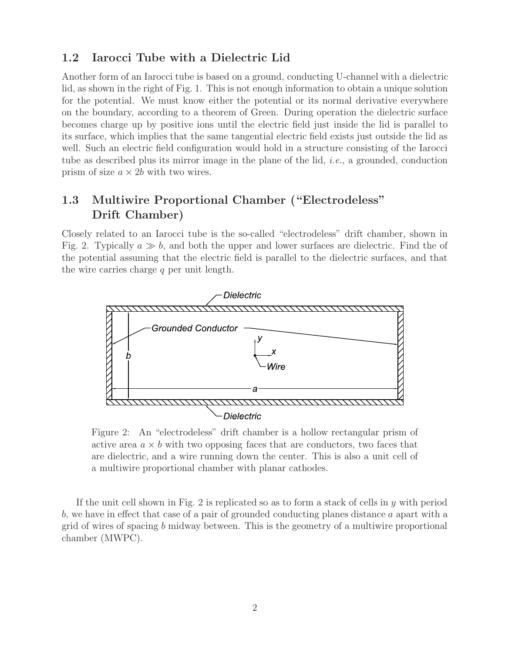# **1.2 Iarocci Tube with a Dielectric Lid**

Another form of an Iarocci tube is based on a ground, conducting U-channel with a dielectric lid, as shown in the right of Fig. 1. This is not enough information to obtain a unique solution for the potential. We must know either the potential or its normal derivative everywhere on the boundary, according to a theorem of Green. During operation the dielectric surface becomes charge up by positive ions until the electric field just inside the lid is parallel to its surface, which implies that the same tangential electric field exists just outside the lid as well. Such an electric field configuration would hold in a structure consisting of the Iarocci tube as described plus its mirror image in the plane of the lid, *i.e.*, a grounded, conduction prism of size  $a \times 2b$  with two wires.

# **1.3 Multiwire Proportional Chamber ("Electrodeless" Drift Chamber)**

Closely related to an Iarocci tube is the so-called "electrodeless" drift chamber, shown in Fig. 2. Typically  $a \gg b$ , and both the upper and lower surfaces are dielectric. Find the of the potential assuming that the electric field is parallel to the dielectric surfaces, and that the wire carries charge  $q$  per unit length.



Figure 2: An "electrodeless" drift chamber is a hollow rectangular prism of active area  $a \times b$  with two opposing faces that are conductors, two faces that are dielectric, and a wire running down the center. This is also a unit cell of a multiwire proportional chamber with planar cathodes.

If the unit cell shown in Fig. 2 is replicated so as to form a stack of cells in  $y$  with period b, we have in effect that case of a pair of grounded conducting planes distance a apart with a grid of wires of spacing b midway between. This is the geometry of a multiwire proportional chamber (MWPC).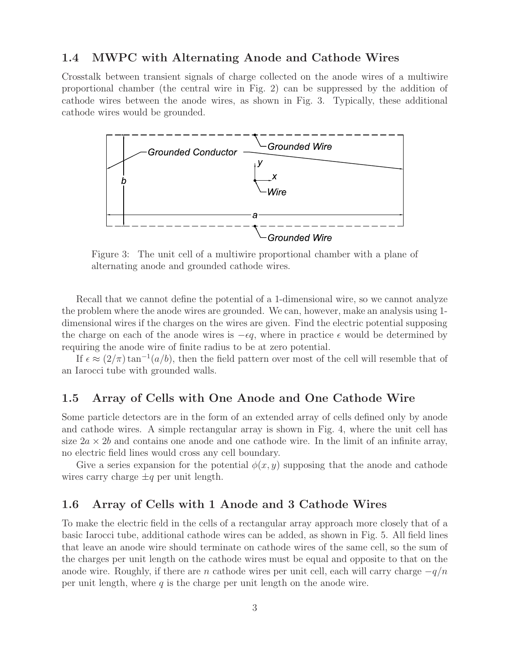## **1.4 MWPC with Alternating Anode and Cathode Wires**

Crosstalk between transient signals of charge collected on the anode wires of a multiwire proportional chamber (the central wire in Fig. 2) can be suppressed by the addition of cathode wires between the anode wires, as shown in Fig. 3. Typically, these additional cathode wires would be grounded.



Figure 3: The unit cell of a multiwire proportional chamber with a plane of alternating anode and grounded cathode wires.

Recall that we cannot define the potential of a 1-dimensional wire, so we cannot analyze the problem where the anode wires are grounded. We can, however, make an analysis using 1 dimensional wires if the charges on the wires are given. Find the electric potential supposing the charge on each of the anode wires is  $-\epsilon q$ , where in practice  $\epsilon$  would be determined by requiring the anode wire of finite radius to be at zero potential.

If  $\epsilon \approx (2/\pi) \tan^{-1}(a/b)$ , then the field pattern over most of the cell will resemble that of an Iarocci tube with grounded walls.

## **1.5 Array of Cells with One Anode and One Cathode Wire**

Some particle detectors are in the form of an extended array of cells defined only by anode and cathode wires. A simple rectangular array is shown in Fig. 4, where the unit cell has size  $2a \times 2b$  and contains one anode and one cathode wire. In the limit of an infinite array, no electric field lines would cross any cell boundary.

Give a series expansion for the potential  $\phi(x, y)$  supposing that the anode and cathode wires carry charge  $\pm q$  per unit length.

## **1.6 Array of Cells with 1 Anode and 3 Cathode Wires**

To make the electric field in the cells of a rectangular array approach more closely that of a basic Iarocci tube, additional cathode wires can be added, as shown in Fig. 5. All field lines that leave an anode wire should terminate on cathode wires of the same cell, so the sum of the charges per unit length on the cathode wires must be equal and opposite to that on the anode wire. Roughly, if there are n cathode wires per unit cell, each will carry charge  $-q/n$ per unit length, where  $q$  is the charge per unit length on the anode wire.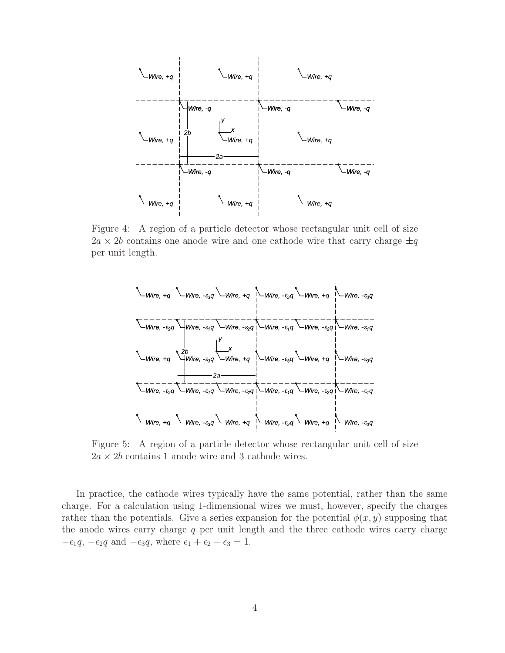

Figure 4: A region of a particle detector whose rectangular unit cell of size  $2a \times 2b$  contains one anode wire and one cathode wire that carry charge  $\pm q$ per unit length.



Figure 5: A region of a particle detector whose rectangular unit cell of size  $2a \times 2b$  contains 1 anode wire and 3 cathode wires.

In practice, the cathode wires typically have the same potential, rather than the same charge. For a calculation using 1-dimensional wires we must, however, specify the charges rather than the potentials. Give a series expansion for the potential  $\phi(x, y)$  supposing that the anode wires carry charge  $q$  per unit length and the three cathode wires carry charge  $-\epsilon_1 q$ ,  $-\epsilon_2 q$  and  $-\epsilon_3 q$ , where  $\epsilon_1 + \epsilon_2 + \epsilon_3 = 1$ .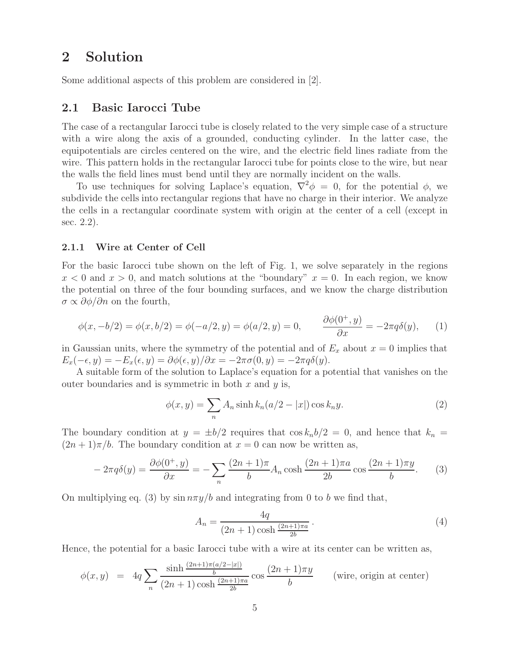# **2 Solution**

Some additional aspects of this problem are considered in [2].

### **2.1 Basic Iarocci Tube**

The case of a rectangular Iarocci tube is closely related to the very simple case of a structure with a wire along the axis of a grounded, conducting cylinder. In the latter case, the equipotentials are circles centered on the wire, and the electric field lines radiate from the wire. This pattern holds in the rectangular Iarocci tube for points close to the wire, but near the walls the field lines must bend until they are normally incident on the walls.

To use techniques for solving Laplace's equation,  $\vec{\nabla}^2 \phi = 0$ , for the potential  $\phi$ , we subdivide the cells into rectangular regions that have no charge in their interior. We analyze the cells in a rectangular coordinate system with origin at the center of a cell (except in sec. 2.2).

#### **2.1.1 Wire at Center of Cell**

For the basic Iarocci tube shown on the left of Fig. 1, we solve separately in the regions  $x < 0$  and  $x > 0$ , and match solutions at the "boundary"  $x = 0$ . In each region, we know the potential on three of the four bounding surfaces, and we know the charge distribution  $\sigma \propto \partial \phi / \partial n$  on the fourth,

$$
\phi(x, -b/2) = \phi(x, b/2) = \phi(-a/2, y) = \phi(a/2, y) = 0, \qquad \frac{\partial \phi(0^+, y)}{\partial x} = -2\pi q \delta(y), \qquad (1)
$$

in Gaussian units, where the symmetry of the potential and of  $E_x$  about  $x = 0$  implies that  $E_x(-\epsilon, y) = -E_x(\epsilon, y) = \partial \phi(\epsilon, y)/\partial x = -2\pi \sigma(0, y) = -2\pi q \delta(y).$ 

A suitable form of the solution to Laplace's equation for a potential that vanishes on the outer boundaries and is symmetric in both  $x$  and  $y$  is,

$$
\phi(x,y) = \sum_{n} A_n \sinh k_n (a/2 - |x|) \cos k_n y.
$$
\n<sup>(2)</sup>

The boundary condition at  $y = \pm b/2$  requires that  $\cos k_n b/2 = 0$ , and hence that  $k_n =$  $(2n+1)\pi/b$ . The boundary condition at  $x=0$  can now be written as,

$$
-2\pi q\delta(y) = \frac{\partial \phi(0^+, y)}{\partial x} = -\sum_n \frac{(2n+1)\pi}{b} A_n \cosh\frac{(2n+1)\pi a}{2b} \cos\frac{(2n+1)\pi y}{b}.\tag{3}
$$

On multiplying eq. (3) by  $\sin n\pi y/b$  and integrating from 0 to b we find that,

$$
A_n = \frac{4q}{(2n+1)\cosh\frac{(2n+1)\pi a}{2b}}.
$$
\n(4)

Hence, the potential for a basic Iarocci tube with a wire at its center can be written as,

$$
\phi(x,y) = 4q \sum_{n} \frac{\sinh \frac{(2n+1)\pi(a/2-|x|)}{b}}{(2n+1)\cosh \frac{(2n+1)\pi a}{2b}} \cos \frac{(2n+1)\pi y}{b} \qquad \text{(wire, origin at center)}
$$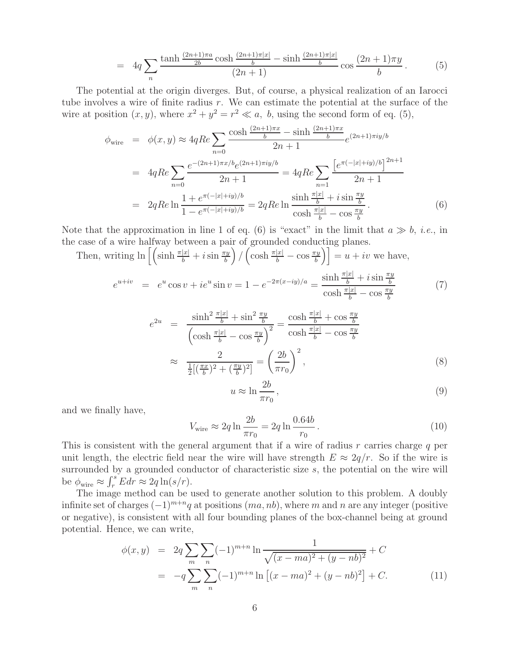$$
= 4q \sum_{n} \frac{\tanh\frac{(2n+1)\pi a}{2b}\cosh\frac{(2n+1)\pi|x|}{b} - \sinh\frac{(2n+1)\pi|x|}{b}}{(2n+1)}\cos\frac{(2n+1)\pi y}{b}.
$$
 (5)

The potential at the origin diverges. But, of course, a physical realization of an Iarocci tube involves a wire of finite radius r. We can estimate the potential at the surface of the wire at position  $(x, y)$ , where  $x^2 + y^2 = r^2 \ll a$ , b, using the second form of eq. (5),

$$
\phi_{\text{wire}} = \phi(x, y) \approx 4qRe \sum_{n=0} \frac{\cosh \frac{(2n+1)\pi x}{b} - \sinh \frac{(2n+1)\pi x}{b}}{2n+1} e^{(2n+1)\pi i y/b}
$$
\n
$$
= 4qRe \sum_{n=0} \frac{e^{-(2n+1)\pi x/b} e^{(2n+1)\pi i y/b}}{2n+1} = 4qRe \sum_{n=1} \frac{\left[e^{\pi (-|x|+iy)/b}\right]^{2n+1}}{2n+1}
$$
\n
$$
= 2qRe \ln \frac{1 + e^{\pi (-|x|+iy)/b}}{1 - e^{\pi (-|x|+iy)/b}} = 2qRe \ln \frac{\sinh \frac{\pi |x|}{b} + i \sin \frac{\pi y}{b}}{\cosh \frac{\pi |x|}{b} - \cos \frac{\pi y}{b}}. \tag{6}
$$

Note that the approximation in line 1 of eq. (6) is "exact" in the limit that  $a \gg b$ , *i.e.*, in the case of a wire halfway between a pair of grounded conducting planes.

Then, writing  $\ln \left[ \left( \sinh \frac{\pi |x|}{b} + i \sin \frac{\pi y}{b} \right) / \left( \cosh \frac{\pi |x|}{b} - \cos \frac{\pi y}{b} \right) \right] = u + iv$  we have,

$$
e^{u+iv} = e^u \cos v + ie^u \sin v = 1 - e^{-2\pi(x-iy)/a} = \frac{\sinh \frac{\pi |x|}{b} + i \sin \frac{\pi y}{b}}{\cosh \frac{\pi |x|}{b} - \cos \frac{\pi y}{b}}
$$
(7)

$$
e^{2u} = \frac{\sinh^2 \frac{\pi |x|}{b} + \sin^2 \frac{\pi y}{b}}{\left(\cosh \frac{\pi |x|}{b} - \cos \frac{\pi y}{b}\right)^2} = \frac{\cosh \frac{\pi |x|}{b} + \cos \frac{\pi y}{b}}{\cosh \frac{\pi |x|}{b} - \cos \frac{\pi y}{b}}
$$

$$
\approx \frac{2}{\frac{1}{2}[(\frac{\pi x}{b})^2 + (\frac{\pi y}{b})^2]} = \left(\frac{2b}{\pi r_0}\right)^2,
$$
(8)

$$
u \approx \ln \frac{2b}{\pi r_0},\tag{9}
$$

and we finally have,

$$
V_{\text{wire}} \approx 2q \ln \frac{2b}{\pi r_0} = 2q \ln \frac{0.64b}{r_0} \,. \tag{10}
$$

This is consistent with the general argument that if a wire of radius r carries charge q per unit length, the electric field near the wire will have strength  $E \approx 2q/r$ . So if the wire is surrounded by a grounded conductor of characteristic size  $s$ , the potential on the wire will be  $\phi_{\text{wire}} \approx \int_r^s E dr \approx 2q \ln(s/r)$ .

The image method can be used to generate another solution to this problem. A doubly infinite set of charges  $(-1)^{m+n}q$  at positions  $(ma, nb)$ , where m and n are any integer (positive or negative), is consistent with all four bounding planes of the box-channel being at ground potential. Hence, we can write,

$$
\phi(x,y) = 2q \sum_{m} \sum_{n} (-1)^{m+n} \ln \frac{1}{\sqrt{(x-ma)^2 + (y-nb)^2}} + C
$$
  
= 
$$
-q \sum_{m} \sum_{n} (-1)^{m+n} \ln \left[ (x-ma)^2 + (y-nb)^2 \right] + C.
$$
 (11)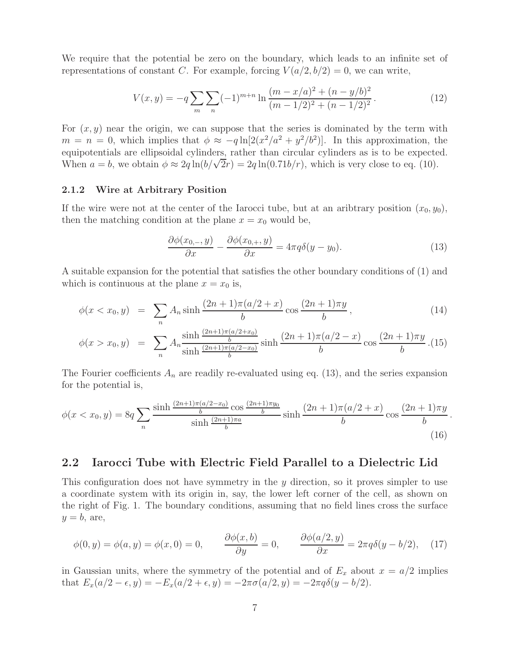We require that the potential be zero on the boundary, which leads to an infinite set of representations of constant C. For example, forcing  $V(a/2, b/2) = 0$ , we can write,

$$
V(x,y) = -q \sum_{m} \sum_{n} (-1)^{m+n} \ln \frac{(m-x/a)^2 + (n-y/b)^2}{(m-1/2)^2 + (n-1/2)^2}.
$$
 (12)

For  $(x, y)$  near the origin, we can suppose that the series is dominated by the term with  $m = n = 0$ , which implies that  $\phi \approx -q \ln[2(x^2/a^2 + y^2/b^2)]$ . In this approximation, the equipotentials are ellipsoidal cylinders, rather than circular cylinders as is to be expected. When  $a = b$ , we obtain  $\phi \approx 2q \ln(b/\sqrt{2r}) = 2q \ln(0.71b/r)$ , which is very close to eq. (10).

#### **2.1.2 Wire at Arbitrary Position**

If the wire were not at the center of the Iarocci tube, but at an aribtrary position  $(x_0, y_0)$ , then the matching condition at the plane  $x = x_0$  would be,

$$
\frac{\partial \phi(x_{0,-},y)}{\partial x} - \frac{\partial \phi(x_{0,+},y)}{\partial x} = 4\pi q \delta(y-y_0). \tag{13}
$$

A suitable expansion for the potential that satisfies the other boundary conditions of (1) and which is continuous at the plane  $x = x_0$  is,

$$
\phi(x < x_0, y) = \sum_{n} A_n \sinh \frac{(2n+1)\pi (a/2+x)}{b} \cos \frac{(2n+1)\pi y}{b},\tag{14}
$$

$$
\phi(x > x_0, y) = \sum_{n} A_n \frac{\sinh \frac{(2n+1)\pi(a/2+x_0)}{b}}{\sinh \frac{(2n+1)\pi(a/2-x_0)}{b}} \sinh \frac{(2n+1)\pi(a/2-x)}{b} \cos \frac{(2n+1)\pi y}{b} .
$$
 (15)

The Fourier coefficients  $A_n$  are readily re-evaluated using eq. (13), and the series expansion for the potential is,

$$
\phi(x < x_0, y) = 8q \sum_{n} \frac{\sinh \frac{(2n+1)\pi(a/2-x_0)}{b} \cos \frac{(2n+1)\pi y_0}{b}}{\sinh \frac{(2n+1)\pi a}{b}} \sinh \frac{(2n+1)\pi(a/2+x)}{b} \cos \frac{(2n+1)\pi y}{b}.
$$
\n(16)

### **2.2 Iarocci Tube with Electric Field Parallel to a Dielectric Lid**

This configuration does not have symmetry in the  $y$  direction, so it proves simpler to use a coordinate system with its origin in, say, the lower left corner of the cell, as shown on the right of Fig. 1. The boundary conditions, assuming that no field lines cross the surface  $y = b$ , are,

$$
\phi(0, y) = \phi(a, y) = \phi(x, 0) = 0, \qquad \frac{\partial \phi(x, b)}{\partial y} = 0, \qquad \frac{\partial \phi(a/2, y)}{\partial x} = 2\pi q \delta(y - b/2), \quad (17)
$$

in Gaussian units, where the symmetry of the potential and of  $E_x$  about  $x = a/2$  implies that  $E_x(a/2 - \epsilon, y) = -E_x(a/2 + \epsilon, y) = -2\pi\sigma(a/2, y) = -2\pi q\delta(y - b/2).$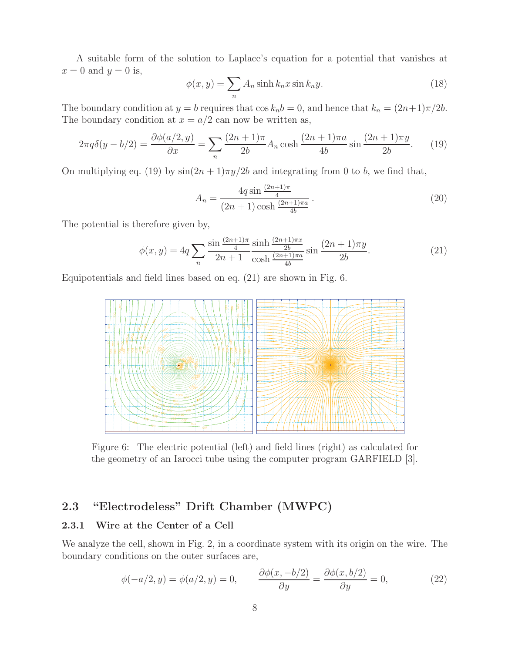A suitable form of the solution to Laplace's equation for a potential that vanishes at  $x = 0$  and  $y = 0$  is,

$$
\phi(x,y) = \sum_{n} A_n \sinh k_n x \sin k_n y.
$$
\n(18)

The boundary condition at  $y = b$  requires that  $\cos k_n b = 0$ , and hence that  $k_n = (2n+1)\pi/2b$ . The boundary condition at  $x = a/2$  can now be written as,

$$
2\pi q \delta(y - b/2) = \frac{\partial \phi(a/2, y)}{\partial x} = \sum_{n} \frac{(2n+1)\pi}{2b} A_n \cosh\frac{(2n+1)\pi a}{4b} \sin\frac{(2n+1)\pi y}{2b}.
$$
 (19)

On multiplying eq. (19) by  $\sin(2n+1)\pi y/2b$  and integrating from 0 to b, we find that,

$$
A_n = \frac{4q \sin \frac{(2n+1)\pi}{4}}{(2n+1)\cosh \frac{(2n+1)\pi a}{4b}}.
$$
\n(20)

The potential is therefore given by,

$$
\phi(x,y) = 4q \sum_{n} \frac{\sin \frac{(2n+1)\pi}{4}}{2n+1} \frac{\sinh \frac{(2n+1)\pi x}{2b}}{\cosh \frac{(2n+1)\pi a}{4b}} \sin \frac{(2n+1)\pi y}{2b}.\tag{21}
$$

Equipotentials and field lines based on eq. (21) are shown in Fig. 6.



Figure 6: The electric potential (left) and field lines (right) as calculated for the geometry of an Iarocci tube using the computer program GARFIELD [3].

## **2.3 "Electrodeless" Drift Chamber (MWPC)**

### **2.3.1 Wire at the Center of a Cell**

We analyze the cell, shown in Fig. 2, in a coordinate system with its origin on the wire. The boundary conditions on the outer surfaces are,

$$
\phi(-a/2, y) = \phi(a/2, y) = 0, \qquad \frac{\partial \phi(x, -b/2)}{\partial y} = \frac{\partial \phi(x, b/2)}{\partial y} = 0,
$$
\n(22)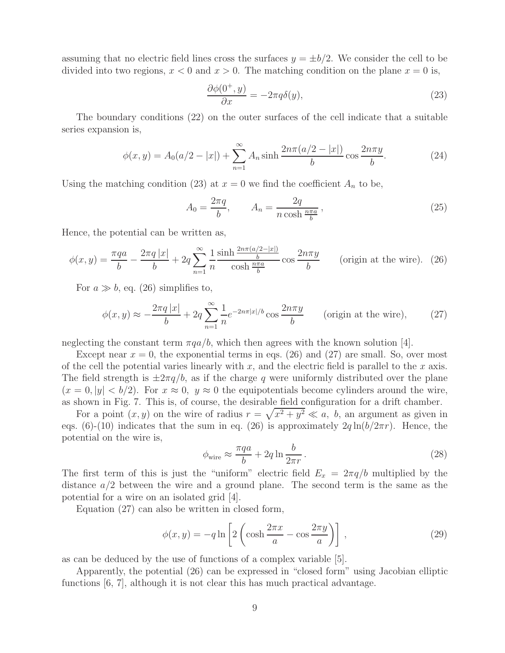assuming that no electric field lines cross the surfaces  $y = \pm b/2$ . We consider the cell to be divided into two regions,  $x < 0$  and  $x > 0$ . The matching condition on the plane  $x = 0$  is,

$$
\frac{\partial \phi(0^+, y)}{\partial x} = -2\pi q \delta(y),\tag{23}
$$

The boundary conditions (22) on the outer surfaces of the cell indicate that a suitable series expansion is,

$$
\phi(x,y) = A_0(a/2 - |x|) + \sum_{n=1}^{\infty} A_n \sinh \frac{2n\pi(a/2 - |x|)}{b} \cos \frac{2n\pi y}{b}.
$$
 (24)

Using the matching condition (23) at  $x = 0$  we find the coefficient  $A_n$  to be,

$$
A_0 = \frac{2\pi q}{b}, \qquad A_n = \frac{2q}{n\cosh\frac{n\pi a}{b}},\tag{25}
$$

Hence, the potential can be written as,

$$
\phi(x,y) = \frac{\pi qa}{b} - \frac{2\pi q |x|}{b} + 2q \sum_{n=1}^{\infty} \frac{1}{n} \frac{\sinh\frac{2n\pi (a/2 - |x|)}{b}}{\cosh\frac{n\pi a}{b}} \cos\frac{2n\pi y}{b}
$$
 (origin at the wire). (26)

For  $a \gg b$ , eq. (26) simplifies to,

$$
\phi(x,y) \approx -\frac{2\pi q |x|}{b} + 2q \sum_{n=1}^{\infty} \frac{1}{n} e^{-2n\pi |x|/b} \cos \frac{2n\pi y}{b} \qquad \text{(origin at the wire)},\tag{27}
$$

neglecting the constant term  $\pi qa/b$ , which then agrees with the known solution [4].

Except near  $x = 0$ , the exponential terms in eqs. (26) and (27) are small. So, over most of the cell the potential varies linearly with  $x$ , and the electric field is parallel to the  $x$  axis. The field strength is  $\pm 2\pi q/b$ , as if the charge q were uniformly distributed over the plane  $(x = 0, |y| < b/2)$ . For  $x \approx 0$ ,  $y \approx 0$  the equipotentials become cylinders around the wire, as shown in Fig. 7. This is, of course, the desirable field configuration for a drift chamber.

For a point  $(x, y)$  on the wire of radius  $r = \sqrt{x^2 + y^2} \ll a$ , b, an argument as given in eqs. (6)-(10) indicates that the sum in eq. (26) is approximately  $2q \ln(b/2\pi r)$ . Hence, the potential on the wire is,

$$
\phi_{\text{wire}} \approx \frac{\pi qa}{b} + 2q \ln \frac{b}{2\pi r} \,. \tag{28}
$$

The first term of this is just the "uniform" electric field  $E_x = 2\pi q/b$  multiplied by the distance  $a/2$  between the wire and a ground plane. The second term is the same as the potential for a wire on an isolated grid [4].

Equation (27) can also be written in closed form,

$$
\phi(x,y) = -q \ln \left[ 2 \left( \cosh \frac{2\pi x}{a} - \cos \frac{2\pi y}{a} \right) \right],
$$
\n(29)

as can be deduced by the use of functions of a complex variable [5].

Apparently, the potential (26) can be expressed in "closed form" using Jacobian elliptic functions [6, 7], although it is not clear this has much practical advantage.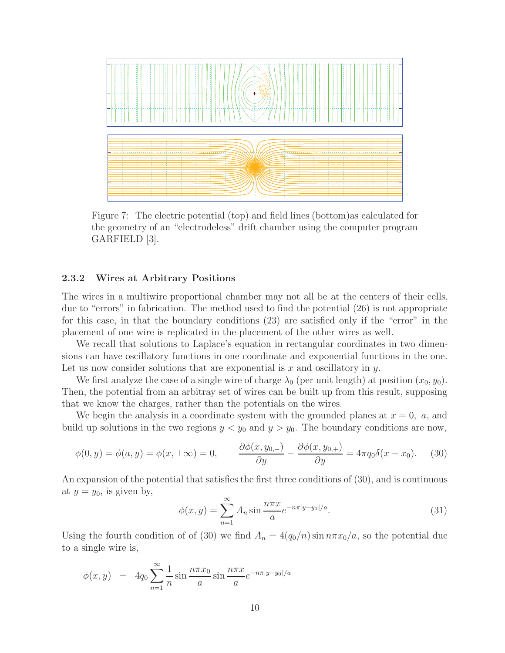

Figure 7: The electric potential (top) and field lines (bottom)as calculated for the geometry of an "electrodeless" drift chamber using the computer program GARFIELD [3].

#### **2.3.2 Wires at Arbitrary Positions**

The wires in a multiwire proportional chamber may not all be at the centers of their cells, due to "errors" in fabrication. The method used to find the potential (26) is not appropriate for this case, in that the boundary conditions (23) are satisfied only if the "error" in the placement of one wire is replicated in the placement of the other wires as well.

We recall that solutions to Laplace's equation in rectangular coordinates in two dimensions can have oscillatory functions in one coordinate and exponential functions in the one. Let us now consider solutions that are exponential is  $x$  and oscillatory in  $y$ .

We first analyze the case of a single wire of charge  $\lambda_0$  (per unit length) at position  $(x_0, y_0)$ . Then, the potential from an arbitray set of wires can be built up from this result, supposing that we know the charges, rather than the potentials on the wires.

We begin the analysis in a coordinate system with the grounded planes at  $x = 0$ , a, and build up solutions in the two regions  $y < y_0$  and  $y > y_0$ . The boundary conditions are now,

$$
\phi(0, y) = \phi(a, y) = \phi(x, \pm \infty) = 0, \qquad \frac{\partial \phi(x, y_{0,-})}{\partial y} - \frac{\partial \phi(x, y_{0,+})}{\partial y} = 4\pi q_0 \delta(x - x_0). \tag{30}
$$

An expansion of the potential that satisfies the first three conditions of (30), and is continuous at  $y = y_0$ , is given by,

$$
\phi(x,y) = \sum_{n=1}^{\infty} A_n \sin \frac{n\pi x}{a} e^{-n\pi|y-y_0|/a}.
$$
 (31)

Using the fourth condition of of (30) we find  $A_n = 4(q_0/n) \sin n \pi x_0/a$ , so the potential due to a single wire is,

$$
\phi(x, y) = 4q_0 \sum_{n=1}^{\infty} \frac{1}{n} \sin \frac{n \pi x_0}{a} \sin \frac{n \pi x}{a} e^{-n \pi |y - y_0|/a}
$$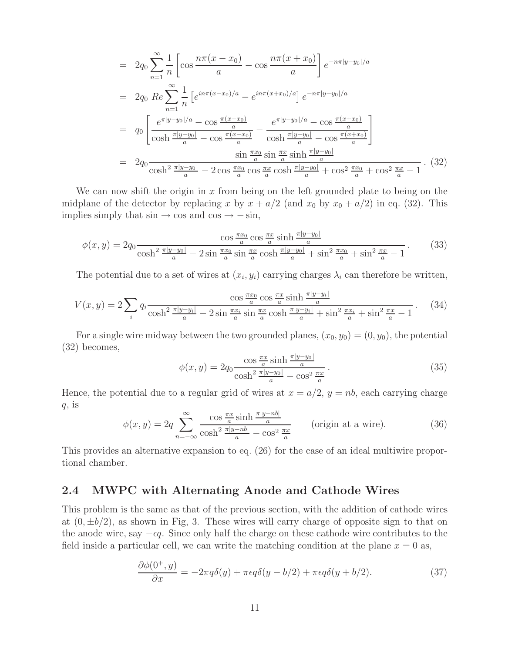$$
= 2q_0 \sum_{n=1}^{\infty} \frac{1}{n} \left[ \cos \frac{n\pi (x - x_0)}{a} - \cos \frac{n\pi (x + x_0)}{a} \right] e^{-n\pi |y - y_0|/a}
$$
  
\n
$$
= 2q_0 \operatorname{Re} \sum_{n=1}^{\infty} \frac{1}{n} \left[ e^{in\pi (x - x_0)/a} - e^{in\pi (x + x_0)/a} \right] e^{-n\pi |y - y_0|/a}
$$
  
\n
$$
= q_0 \left[ \frac{e^{\pi |y - y_0|/a} - \cos \frac{\pi (x - x_0)}{a}}{\cosh \frac{\pi |y - y_0|}{a} - \cos \frac{\pi (x - x_0)}{a}} - \frac{e^{\pi |y - y_0|/a} - \cos \frac{\pi (x + x_0)}{a}}{\cosh \frac{\pi |y - y_0|}{a} - \cos \frac{\pi (x + x_0)}{a}} \right]
$$
  
\n
$$
= 2q_0 \frac{\sin \frac{\pi x_0}{a} \sin \frac{\pi x}{a} \sinh \frac{\pi |y - y_0|}{a}}{\cosh^2 \frac{\pi |y - y_0|}{a} - 2 \cos \frac{\pi x_0}{a} \cos \frac{\pi x}{a} \cosh \frac{\pi |y - y_0|}{a} + \cos^2 \frac{\pi x_0}{a} + \cos^2 \frac{\pi x}{a} - 1}.
$$
 (32)

We can now shift the origin in x from being on the left grounded plate to being on the midplane of the detector by replacing x by  $x + a/2$  (and  $x_0$  by  $x_0 + a/2$ ) in eq. (32). This implies simply that  $\sin \rightarrow \cos$  and  $\cos \rightarrow -\sin$ ,

$$
\phi(x,y) = 2q_0 \frac{\cos \frac{\pi x_0}{a} \cos \frac{\pi x}{a} \sinh \frac{\pi |y - y_0|}{a}}{\cosh^2 \frac{\pi |y - y_0|}{a} - 2 \sin \frac{\pi x_0}{a} \sin \frac{\pi x}{a} \cosh \frac{\pi |y - y_0|}{a} + \sin^2 \frac{\pi x_0}{a} + \sin^2 \frac{\pi x}{a} - 1}.
$$
(33)

The potential due to a set of wires at  $(x_i, y_i)$  carrying charges  $\lambda_i$  can therefore be written,

$$
V(x,y) = 2\sum_{i} q_i \frac{\cos\frac{\pi x_0}{a}\cos\frac{\pi x}{a}\sinh\frac{\pi|y-y_i|}{a}}{\cosh^2\frac{\pi|y-y_i|}{a} - 2\sin\frac{\pi x_i}{a}\sin\frac{\pi x}{a}\cosh\frac{\pi|y-y_i|}{a} + \sin^2\frac{\pi x_i}{a} + \sin^2\frac{\pi x}{a} - 1}.
$$
 (34)

For a single wire midway between the two grounded planes,  $(x_0, y_0) = (0, y_0)$ , the potential (32) becomes,

$$
\phi(x,y) = 2q_0 \frac{\cos \frac{\pi x}{a} \sinh \frac{\pi |y - y_0|}{a}}{\cosh^2 \frac{\pi |y - y_0|}{a} - \cos^2 \frac{\pi x}{a}}.
$$
\n(35)

Hence, the potential due to a regular grid of wires at  $x = a/2$ ,  $y = nb$ , each carrying charge  $q$ , is

$$
\phi(x,y) = 2q \sum_{n=-\infty}^{\infty} \frac{\cos \frac{\pi x}{a} \sinh \frac{\pi |y-nb|}{a}}{\cosh^2 \frac{\pi |y-nb|}{a} - \cos^2 \frac{\pi x}{a}} \qquad \text{(origin at a wire)}.
$$
\n(36)

This provides an alternative expansion to eq. (26) for the case of an ideal multiwire proportional chamber.

## **2.4 MWPC with Alternating Anode and Cathode Wires**

This problem is the same as that of the previous section, with the addition of cathode wires at  $(0, \pm b/2)$ , as shown in Fig, 3. These wires will carry charge of opposite sign to that on the anode wire, say  $-\epsilon q$ . Since only half the charge on these cathode wire contributes to the field inside a particular cell, we can write the matching condition at the plane  $x = 0$  as,

$$
\frac{\partial \phi(0^+, y)}{\partial x} = -2\pi q \delta(y) + \pi \epsilon q \delta(y - b/2) + \pi \epsilon q \delta(y + b/2). \tag{37}
$$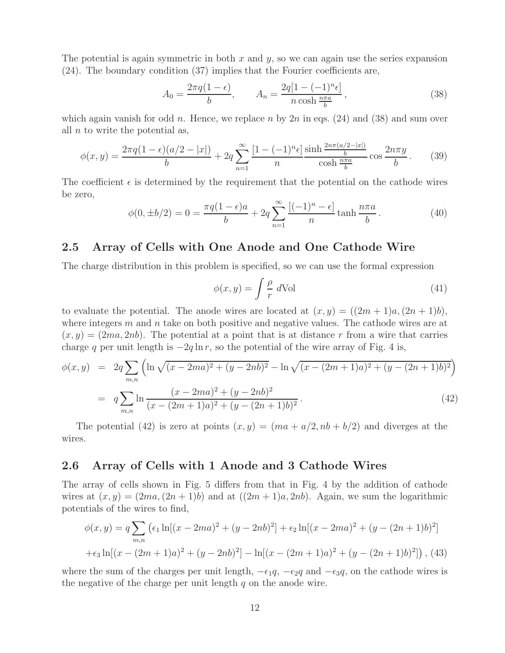The potential is again symmetric in both  $x$  and  $y$ , so we can again use the series expansion (24). The boundary condition (37) implies that the Fourier coefficients are,

$$
A_0 = \frac{2\pi q(1 - \epsilon)}{b}, \qquad A_n = \frac{2q[1 - (-1)^n \epsilon]}{n \cosh \frac{n\pi a}{b}}, \qquad (38)
$$

which again vanish for odd n. Hence, we replace n by  $2n$  in eqs. (24) and (38) and sum over all  $n$  to write the potential as,

$$
\phi(x,y) = \frac{2\pi q(1-\epsilon)(a/2-|x|)}{b} + 2q \sum_{n=1}^{\infty} \frac{[1-(-1)^n \epsilon]}{n} \frac{\sinh\frac{2n\pi(a/2-|x|)}{b}}{\cosh\frac{n\pi a}{b}} \cos\frac{2n\pi y}{b}.
$$
 (39)

The coefficient  $\epsilon$  is determined by the requirement that the potential on the cathode wires be zero,

$$
\phi(0, \pm b/2) = 0 = \frac{\pi q (1 - \epsilon) a}{b} + 2q \sum_{n=1}^{\infty} \frac{[(-1)^n - \epsilon]}{n} \tanh \frac{n \pi a}{b}.
$$
 (40)

### **2.5 Array of Cells with One Anode and One Cathode Wire**

The charge distribution in this problem is specified, so we can use the formal expression

$$
\phi(x,y) = \int \frac{\rho}{r} \, d\text{Vol} \tag{41}
$$

to evaluate the potential. The anode wires are located at  $(x, y) = ((2m + 1)a, (2n + 1)b)$ , where integers  $m$  and  $n$  take on both positive and negative values. The cathode wires are at  $(x, y) = (2ma, 2nb)$ . The potential at a point that is at distance r from a wire that carries charge q per unit length is  $-2q \ln r$ , so the potential of the wire array of Fig. 4 is,

$$
\phi(x,y) = 2q \sum_{m,n} \left( \ln \sqrt{(x - 2ma)^2 + (y - 2nb)^2} - \ln \sqrt{(x - (2m + 1)a)^2 + (y - (2n + 1)b)^2} \right)
$$

$$
= q \sum_{m,n} \ln \frac{(x - 2ma)^2 + (y - 2nb)^2}{(x - (2m + 1)a)^2 + (y - (2n + 1)b)^2}.
$$
(42)

The potential (42) is zero at points  $(x, y)=(ma + a/2, nb + b/2)$  and diverges at the wires.

### **2.6 Array of Cells with 1 Anode and 3 Cathode Wires**

The array of cells shown in Fig. 5 differs from that in Fig. 4 by the addition of cathode wires at  $(x, y) = (2ma, (2n + 1)b)$  and at  $((2m + 1)a, 2nb)$ . Again, we sum the logarithmic potentials of the wires to find,

$$
\phi(x,y) = q \sum_{m,n} \left( \epsilon_1 \ln[(x - 2ma)^2 + (y - 2nb)^2] + \epsilon_2 \ln[(x - 2ma)^2 + (y - (2n + 1)b)^2] \right)
$$

$$
+ \epsilon_3 \ln[(x - (2m + 1)a)^2 + (y - 2nb)^2] - \ln[(x - (2m + 1)a)^2 + (y - (2n + 1)b)^2] \right), (43)
$$

where the sum of the charges per unit length,  $-\epsilon_1q$ ,  $-\epsilon_2q$  and  $-\epsilon_3q$ , on the cathode wires is the negative of the charge per unit length  $q$  on the anode wire.